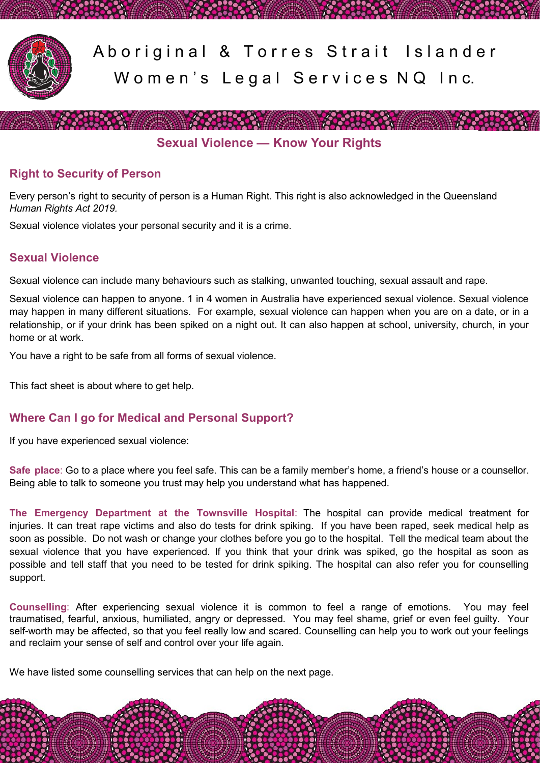

Aboriginal & Torres Strait Islander Women's Legal Services NQ Inc.

**Sexual Violence — Know Your Rights**

**Experience of the contract of the contract of the contract of the contract of the contract of the contract of** 

# **Right to Security of Person**

Every person's right to security of person is a Human Right. This right is also acknowledged in the Queensland *Human Rights Act 2019.* 

Sexual violence violates your personal security and it is a crime.

# **Sexual Violence**

Sexual violence can include many behaviours such as stalking, unwanted touching, sexual assault and rape.

Sexual violence can happen to anyone. 1 in 4 women in Australia have experienced sexual violence. Sexual violence may happen in many different situations. For example, sexual violence can happen when you are on a date, or in a relationship, or if your drink has been spiked on a night out. It can also happen at school, university, church, in your home or at work.

You have a right to be safe from all forms of sexual violence.

This fact sheet is about where to get help.

# **Where Can I go for Medical and Personal Support?**

If you have experienced sexual violence:

**Safe place**: Go to a place where you feel safe. This can be a family member's home, a friend's house or a counsellor. Being able to talk to someone you trust may help you understand what has happened.

**The Emergency Department at the Townsville Hospital**: The hospital can provide medical treatment for injuries. It can treat rape victims and also do tests for drink spiking. If you have been raped, seek medical help as soon as possible. Do not wash or change your clothes before you go to the hospital. Tell the medical team about the sexual violence that you have experienced. If you think that your drink was spiked, go the hospital as soon as possible and tell staff that you need to be tested for drink spiking. The hospital can also refer you for counselling support.

**Counselling**: After experiencing sexual violence it is common to feel a range of emotions. You may feel traumatised, fearful, anxious, humiliated, angry or depressed. You may feel shame, grief or even feel guilty. Your self-worth may be affected, so that you feel really low and scared. Counselling can help you to work out your feelings and reclaim your sense of self and control over your life again.

We have listed some counselling services that can help on the next page.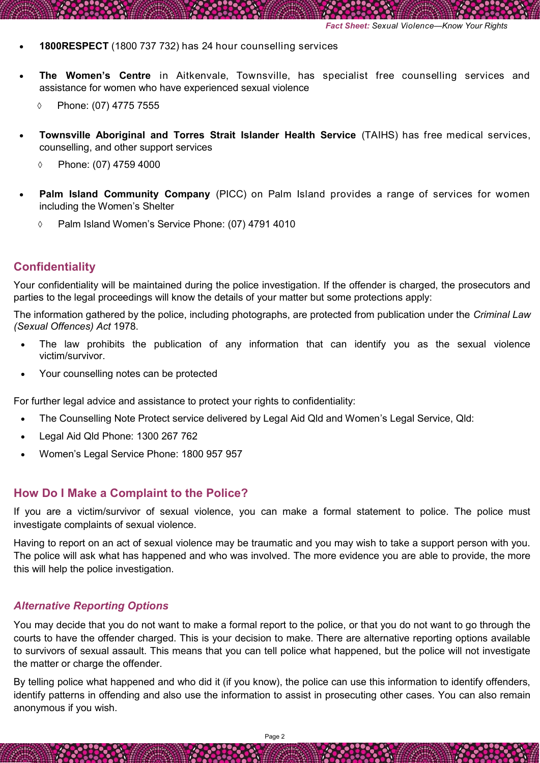- **1800RESPECT** (1800 737 732) has 24 hour counselling services
- **The Women's Centre** in Aitkenvale, Townsville, has specialist free counselling services and assistance for women who have experienced sexual violence
	- Phone: (07) 4775 7555
- **Townsville Aboriginal and Torres Strait Islander Health Service** (TAIHS) has free medical services, counselling, and other support services
	- Phone: (07) 4759 4000
- **Palm Island Community Company** (PICC) on Palm Island provides a range of services for women including the Women's Shelter
	- Palm Island Women's Service Phone: (07) 4791 4010

### **Confidentiality**

Your confidentiality will be maintained during the police investigation. If the offender is charged, the prosecutors and parties to the legal proceedings will know the details of your matter but some protections apply:

The information gathered by the police, including photographs, are protected from publication under the *Criminal Law (Sexual Offences) Act* 1978.

- The law prohibits the publication of any information that can identify you as the sexual violence victim/survivor.
- Your counselling notes can be protected

For further legal advice and assistance to protect your rights to confidentiality:

- The Counselling Note Protect service delivered by Legal Aid Qld and Women's Legal Service, Qld:
- Legal Aid Qld Phone: 1300 267 762
- Women's Legal Service Phone: 1800 957 957

#### **How Do I Make a Complaint to the Police?**

If you are a victim/survivor of sexual violence, you can make a formal statement to police. The police must investigate complaints of sexual violence.

Having to report on an act of sexual violence may be traumatic and you may wish to take a support person with you. The police will ask what has happened and who was involved. The more evidence you are able to provide, the more this will help the police investigation.

#### *Alternative Reporting Options*

You may decide that you do not want to make a formal report to the police, or that you do not want to go through the courts to have the offender charged. This is your decision to make. There are alternative reporting options available to survivors of sexual assault. This means that you can tell police what happened, but the police will not investigate the matter or charge the offender.

By telling police what happened and who did it (if you know), the police can use this information to identify offenders, identify patterns in offending and also use the information to assist in prosecuting other cases. You can also remain anonymous if you wish.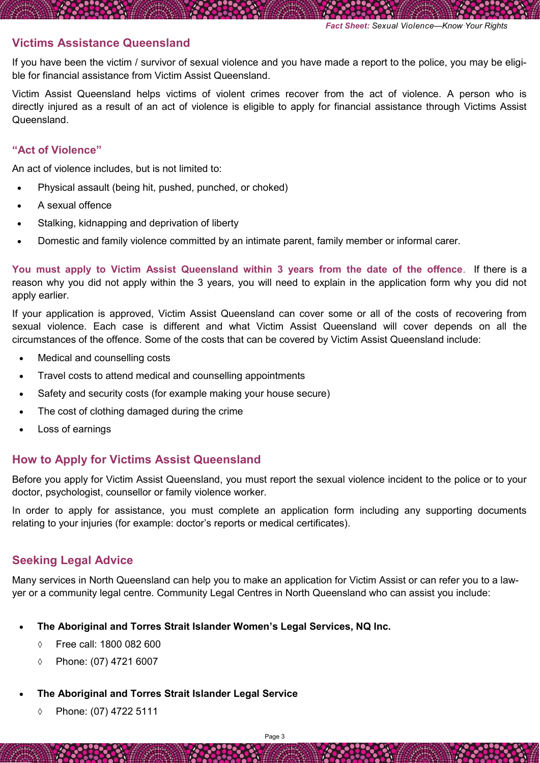### **Victims Assistance Queensland**

If you have been the victim / survivor of sexual violence and you have made a report to the police, you may be eligible for financial assistance from Victim Assist Queensland.

Victim Assist Queensland helps victims of violent crimes recover from the act of violence. A person who is directly injured as a result of an act of violence is eligible to apply for financial assistance through Victims Assist **Queensland** 

#### **"Act of Violence"**

An act of violence includes, but is not limited to:

- Physical assault (being hit, pushed, punched, or choked)
- A sexual offence
- Stalking, kidnapping and deprivation of liberty
- Domestic and family violence committed by an intimate parent, family member or informal carer.

**You must apply to Victim Assist Queensland within 3 years from the date of the offence**. If there is a reason why you did not apply within the 3 years, you will need to explain in the application form why you did not apply earlier.

If your application is approved, Victim Assist Queensland can cover some or all of the costs of recovering from sexual violence. Each case is different and what Victim Assist Queensland will cover depends on all the circumstances of the offence. Some of the costs that can be covered by Victim Assist Queensland include:

- Medical and counselling costs
- Travel costs to attend medical and counselling appointments
- Safety and security costs (for example making your house secure)
- The cost of clothing damaged during the crime
- Loss of earnings

### **How to Apply for Victims Assist Queensland**

Before you apply for Victim Assist Queensland, you must report the sexual violence incident to the police or to your doctor, psychologist, counsellor or family violence worker.

In order to apply for assistance, you must complete an application form including any supporting documents relating to your injuries (for example: doctor's reports or medical certificates).

# **Seeking Legal Advice**

Many services in North Queensland can help you to make an application for Victim Assist or can refer you to a lawyer or a community legal centre. Community Legal Centres in North Queensland who can assist you include:

- **The Aboriginal and Torres Strait Islander Women's Legal Services, NQ Inc.**
	- Free call: 1800 082 600
	- Phone: (07) 4721 6007
- **The Aboriginal and Torres Strait Islander Legal Service**
	- Phone: (07) 4722 5111